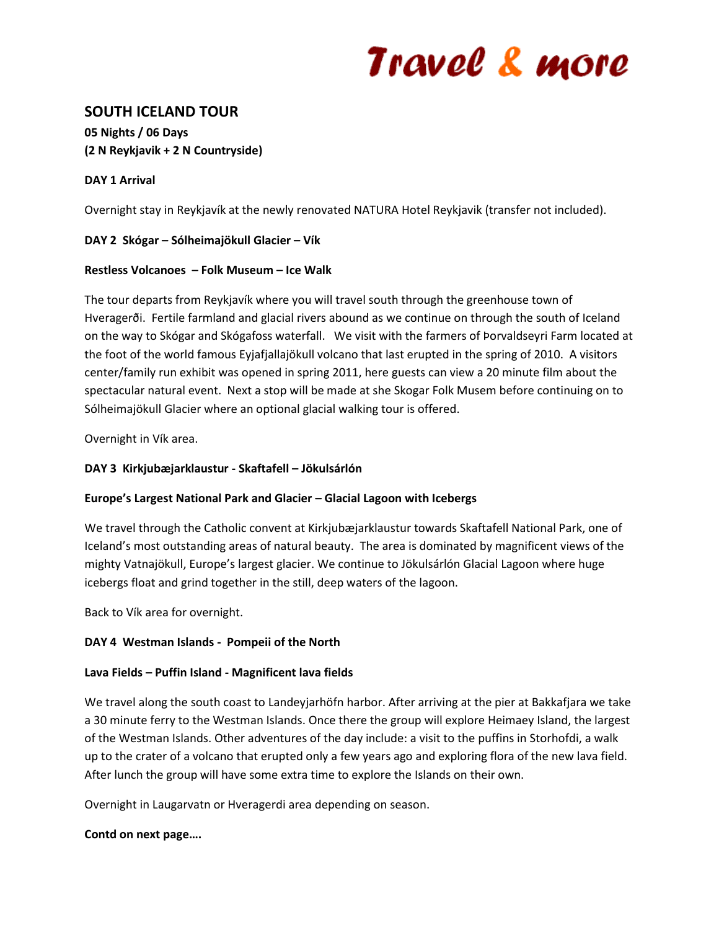# Travel & more

# **SOUTH ICELAND TOUR**

**05 Nights / 06 Days (2 N Reykjavik + 2 N Countryside)**

# **DAY 1 Arrival**

Overnight stay in Reykjavík at the newly renovated NATURA Hotel Reykjavik (transfer not included).

# **DAY 2 Skógar – Sólheimajökull Glacier – Vík**

# **Restless Volcanoes – Folk Museum – Ice Walk**

The tour departs from Reykjavík where you will travel south through the greenhouse town of Hveragerði. Fertile farmland and glacial rivers abound as we continue on through the south of Iceland on the way to Skógar and Skógafoss waterfall. We visit with the farmers of Þorvaldseyri Farm located at the foot of the world famous Eyjafjallajökull volcano that last erupted in the spring of 2010. A visitors center/family run exhibit was opened in spring 2011, here guests can view a 20 minute film about the spectacular natural event. Next a stop will be made at she Skogar Folk Musem before continuing on to Sólheimajökull Glacier where an optional glacial walking tour is offered.

Overnight in Vík area.

# **DAY 3 Kirkjubæjarklaustur - Skaftafell – Jökulsárlón**

# **Europe's Largest National Park and Glacier – Glacial Lagoon with Icebergs**

We travel through the Catholic convent at Kirkjubæjarklaustur towards Skaftafell National Park, one of Iceland's most outstanding areas of natural beauty. The area is dominated by magnificent views of the mighty Vatnajökull, Europe's largest glacier. We continue to Jökulsárlón Glacial Lagoon where huge icebergs float and grind together in the still, deep waters of the lagoon.

Back to Vík area for overnight.

#### **DAY 4 Westman Islands - Pompeii of the North**

#### **Lava Fields – Puffin Island - Magnificent lava fields**

We travel along the south coast to Landeyjarhöfn harbor. After arriving at the pier at Bakkafjara we take a 30 minute ferry to the Westman Islands. Once there the group will explore Heimaey Island, the largest of the Westman Islands. Other adventures of the day include: a visit to the puffins in Storhofdi, a walk up to the crater of a volcano that erupted only a few years ago and exploring flora of the new lava field. After lunch the group will have some extra time to explore the Islands on their own.

Overnight in Laugarvatn or Hveragerdi area depending on season.

#### **Contd on next page….**